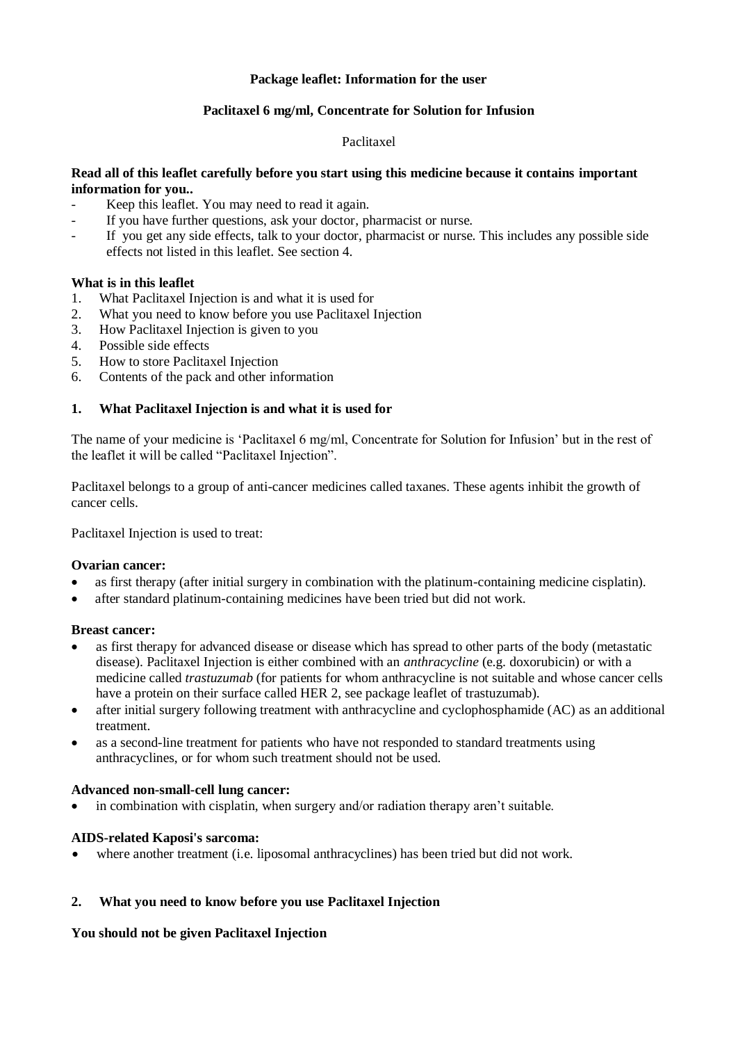### **Package leaflet: Information for the user**

## **Paclitaxel 6 mg/ml, Concentrate for Solution for Infusion**

### Paclitaxel

## **Read all of this leaflet carefully before you start using this medicine because it contains important information for you..**

- Keep this leaflet. You may need to read it again.
- If you have further questions, ask your doctor, pharmacist or nurse.
- If you get any side effects, talk to your doctor, pharmacist or nurse. This includes any possible side effects not listed in this leaflet. See section 4.

### **What is in this leaflet**

- 1. What Paclitaxel Injection is and what it is used for
- 2. What you need to know before you use Paclitaxel Injection
- 3. How Paclitaxel Injection is given to you
- 4. Possible side effects
- 5. How to store Paclitaxel Injection
- 6. Contents of the pack and other information

## **1. What Paclitaxel Injection is and what it is used for**

The name of your medicine is 'Paclitaxel 6 mg/ml, Concentrate for Solution for Infusion' but in the rest of the leaflet it will be called "Paclitaxel Injection".

Paclitaxel belongs to a group of anti-cancer medicines called taxanes. These agents inhibit the growth of cancer cells.

Paclitaxel Injection is used to treat:

### **Ovarian cancer:**

- as first therapy (after initial surgery in combination with the platinum-containing medicine cisplatin).
- after standard platinum-containing medicines have been tried but did not work.

### **Breast cancer:**

- as first therapy for advanced disease or disease which has spread to other parts of the body (metastatic disease). Paclitaxel Injection is either combined with an *anthracycline* (e.g. doxorubicin) or with a medicine called *trastuzumab* (for patients for whom anthracycline is not suitable and whose cancer cells have a protein on their surface called HER 2, see package leaflet of trastuzumab).
- after initial surgery following treatment with anthracycline and cyclophosphamide (AC) as an additional treatment.
- as a second-line treatment for patients who have not responded to standard treatments using anthracyclines, or for whom such treatment should not be used.

### **Advanced non-small-cell lung cancer:**

in combination with cisplatin, when surgery and/or radiation therapy aren't suitable.

### **AIDS-related Kaposi's sarcoma:**

where another treatment (i.e. liposomal anthracyclines) has been tried but did not work.

### **2. What you need to know before you use Paclitaxel Injection**

### **You should not be given Paclitaxel Injection**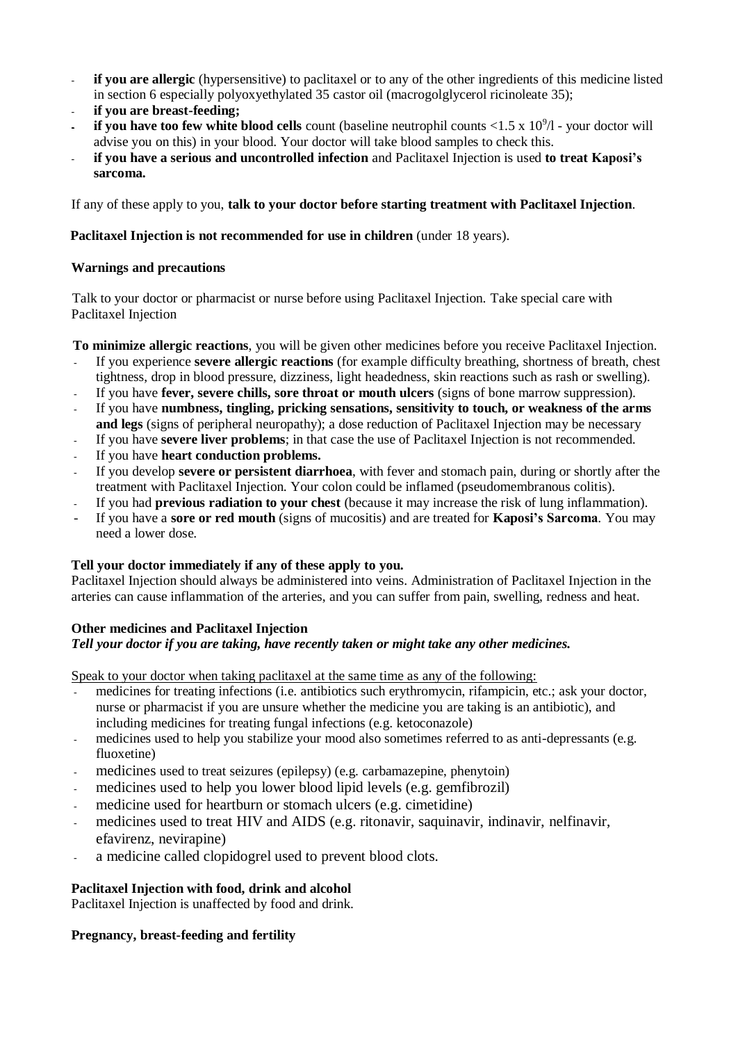- **if you are allergic** (hypersensitive) to paclitaxel or to any of the other ingredients of this medicine listed in section 6 especially polyoxyethylated 35 castor oil (macrogolglycerol ricinoleate 35);
- **if you are breast-feeding;**
- **if you have too few white blood cells** count (baseline neutrophil counts  $\langle 1.5 \times 10^9 \rangle$  your doctor will advise you on this) in your blood. Your doctor will take blood samples to check this.
- **if you have a serious and uncontrolled infection** and Paclitaxel Injection is used **to treat Kaposi's sarcoma.**

If any of these apply to you, **talk to your doctor before starting treatment with Paclitaxel Injection**.

## **Paclitaxel Injection is not recommended for use in children** (under 18 years).

## **Warnings and precautions**

Talk to your doctor or pharmacist or nurse before using Paclitaxel Injection. Take special care with Paclitaxel Injection

**To minimize allergic reactions**, you will be given other medicines before you receive Paclitaxel Injection.

- If you experience **severe allergic reactions** (for example difficulty breathing, shortness of breath, chest tightness, drop in blood pressure, dizziness, light headedness, skin reactions such as rash or swelling).
- If you have **fever, severe chills, sore throat or mouth ulcers** (signs of bone marrow suppression).
- If you have **numbness, tingling, pricking sensations, sensitivity to touch, or weakness of the arms and legs** (signs of peripheral neuropathy); a dose reduction of Paclitaxel Injection may be necessary
- If you have **severe liver problems**; in that case the use of Paclitaxel Injection is not recommended.
- If you have **heart conduction problems.**
- If you develop **severe or persistent diarrhoea**, with fever and stomach pain, during or shortly after the treatment with Paclitaxel Injection. Your colon could be inflamed (pseudomembranous colitis).
- If you had **previous radiation to your chest** (because it may increase the risk of lung inflammation).
- If you have a **sore or red mouth** (signs of mucositis) and are treated for **Kaposi's Sarcoma**. You may need a lower dose.

# **Tell your doctor immediately if any of these apply to you.**

Paclitaxel Injection should always be administered into veins. Administration of Paclitaxel Injection in the arteries can cause inflammation of the arteries, and you can suffer from pain, swelling, redness and heat.

### **Other medicines and Paclitaxel Injection**

# *Tell your doctor if you are taking, have recently taken or might take any other medicines.*

Speak to your doctor when taking paclitaxel at the same time as any of the following:

- medicines for treating infections (i.e. antibiotics such erythromycin, rifampicin, etc.; ask your doctor, nurse or pharmacist if you are unsure whether the medicine you are taking is an antibiotic), and including medicines for treating fungal infections (e.g. ketoconazole)
- medicines used to help you stabilize your mood also sometimes referred to as anti-depressants (e.g. fluoxetine)
- medicines used to treat seizures (epilepsy) (e.g. carbamazepine, phenytoin)
- medicines used to help you lower blood lipid levels (e.g. gemfibrozil)
- medicine used for heartburn or stomach ulcers (e.g. cimetidine)
- medicines used to treat HIV and AIDS (e.g. ritonavir, saquinavir, indinavir, nelfinavir, efavirenz, nevirapine)
- a medicine called clopidogrel used to prevent blood clots.

# **Paclitaxel Injection with food, drink and alcohol**

Paclitaxel Injection is unaffected by food and drink.

# **Pregnancy, breast-feeding and fertility**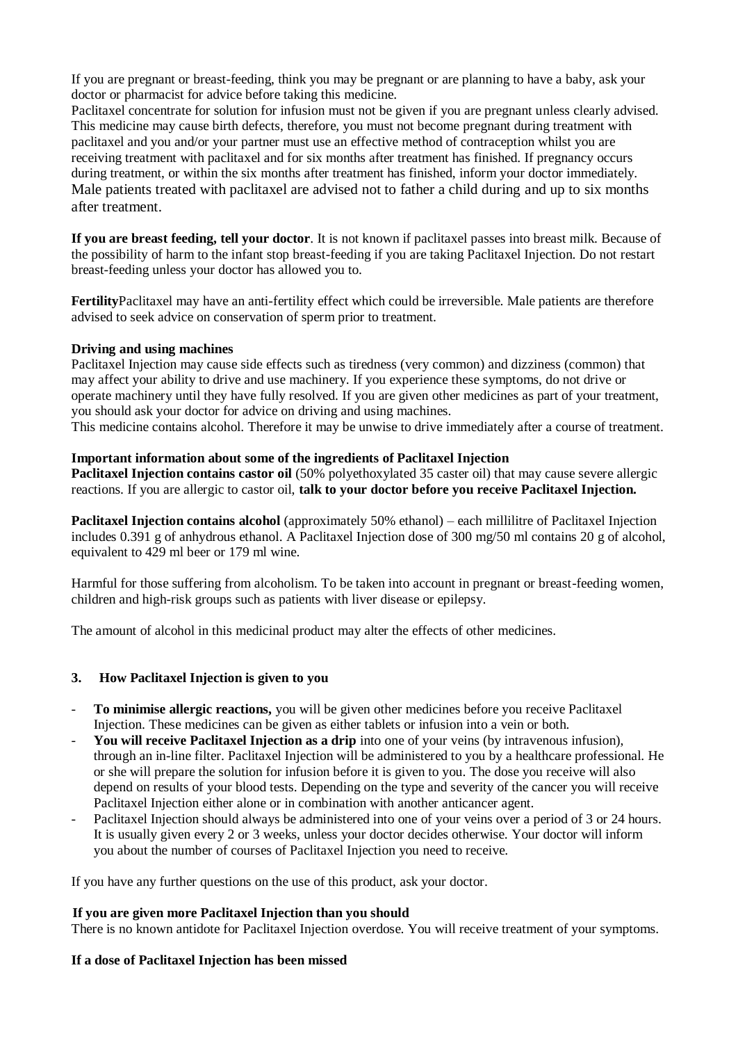If you are pregnant or breast-feeding, think you may be pregnant or are planning to have a baby, ask your doctor or pharmacist for advice before taking this medicine.

Paclitaxel concentrate for solution for infusion must not be given if you are pregnant unless clearly advised. This medicine may cause birth defects, therefore, you must not become pregnant during treatment with paclitaxel and you and/or your partner must use an effective method of contraception whilst you are receiving treatment with paclitaxel and for six months after treatment has finished. If pregnancy occurs during treatment, or within the six months after treatment has finished, inform your doctor immediately. Male patients treated with paclitaxel are advised not to father a child during and up to six months after treatment.

**If you are breast feeding, tell your doctor**. It is not known if paclitaxel passes into breast milk. Because of the possibility of harm to the infant stop breast-feeding if you are taking Paclitaxel Injection. Do not restart breast-feeding unless your doctor has allowed you to.

**Fertility**Paclitaxel may have an anti-fertility effect which could be irreversible. Male patients are therefore advised to seek advice on conservation of sperm prior to treatment.

### **Driving and using machines**

Paclitaxel Injection may cause side effects such as tiredness (very common) and dizziness (common) that may affect your ability to drive and use machinery. If you experience these symptoms, do not drive or operate machinery until they have fully resolved. If you are given other medicines as part of your treatment, you should ask your doctor for advice on driving and using machines.

This medicine contains alcohol. Therefore it may be unwise to drive immediately after a course of treatment.

## **Important information about some of the ingredients of Paclitaxel Injection**

**Paclitaxel Injection contains castor oil** (50% polyethoxylated 35 caster oil) that may cause severe allergic reactions. If you are allergic to castor oil, **talk to your doctor before you receive Paclitaxel Injection.**

**Paclitaxel Injection contains alcohol** (approximately 50% ethanol) – each millilitre of Paclitaxel Injection includes 0.391 g of anhydrous ethanol. A Paclitaxel Injection dose of 300 mg/50 ml contains 20 g of alcohol, equivalent to 429 ml beer or 179 ml wine.

Harmful for those suffering from alcoholism. To be taken into account in pregnant or breast-feeding women, children and high-risk groups such as patients with liver disease or epilepsy.

The amount of alcohol in this medicinal product may alter the effects of other medicines.

# **3. How Paclitaxel Injection is given to you**

- **To minimise allergic reactions,** you will be given other medicines before you receive Paclitaxel Injection. These medicines can be given as either tablets or infusion into a vein or both.
- **You will receive Paclitaxel Injection as a drip** into one of your veins (by intravenous infusion), through an in-line filter. Paclitaxel Injection will be administered to you by a healthcare professional. He or she will prepare the solution for infusion before it is given to you. The dose you receive will also depend on results of your blood tests. Depending on the type and severity of the cancer you will receive Paclitaxel Injection either alone or in combination with another anticancer agent.
- Paclitaxel Injection should always be administered into one of your veins over a period of 3 or 24 hours. It is usually given every 2 or 3 weeks, unless your doctor decides otherwise. Your doctor will inform you about the number of courses of Paclitaxel Injection you need to receive.

If you have any further questions on the use of this product, ask your doctor.

### **If you are given more Paclitaxel Injection than you should**

There is no known antidote for Paclitaxel Injection overdose. You will receive treatment of your symptoms.

### **If a dose of Paclitaxel Injection has been missed**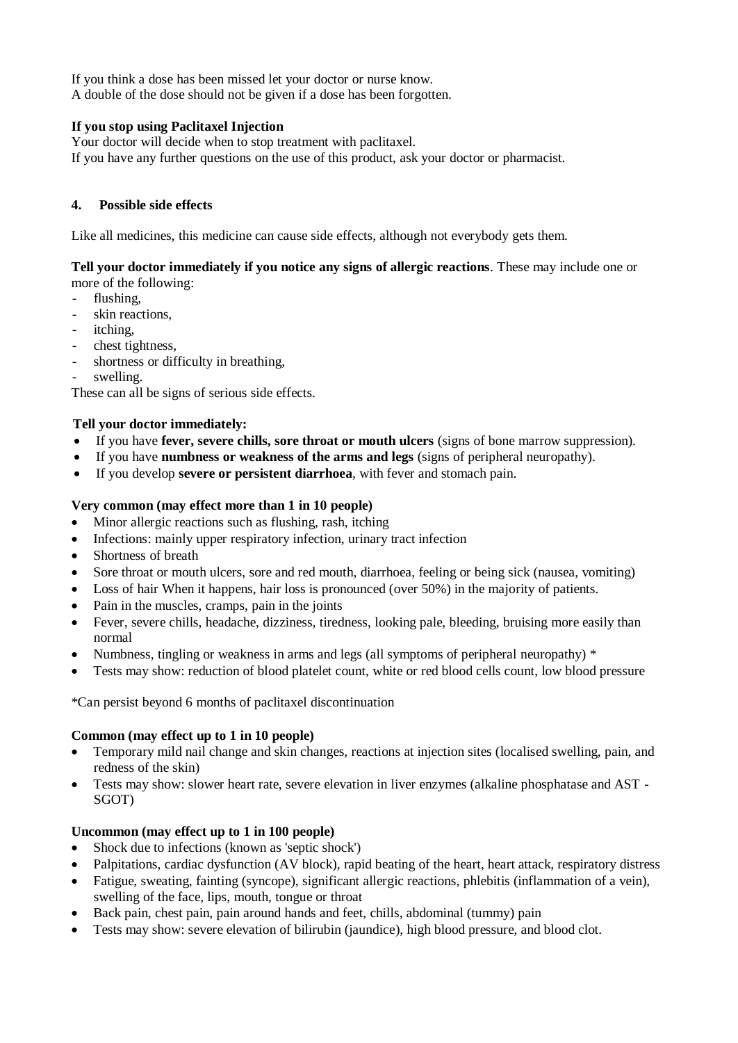If you think a dose has been missed let your doctor or nurse know. A double of the dose should not be given if a dose has been forgotten.

## **If you stop using Paclitaxel Injection**

Your doctor will decide when to stop treatment with paclitaxel. If you have any further questions on the use of this product, ask your doctor or pharmacist.

### **4. Possible side effects**

Like all medicines, this medicine can cause side effects, although not everybody gets them.

#### **Tell your doctor immediately if you notice any signs of allergic reactions**. These may include one or more of the following:

- flushing,
- skin reactions,
- itching,
- chest tightness,
- shortness or difficulty in breathing,
- swelling.

These can all be signs of serious side effects.

## **Tell your doctor immediately:**

- If you have **fever, severe chills, sore throat or mouth ulcers** (signs of bone marrow suppression).
- If you have **numbness or weakness of the arms and legs** (signs of peripheral neuropathy).
- If you develop **severe or persistent diarrhoea**, with fever and stomach pain.

## **Very common (may effect more than 1 in 10 people)**

- Minor allergic reactions such as flushing, rash, itching
- Infections: mainly upper respiratory infection, urinary tract infection
- Shortness of breath
- Sore throat or mouth ulcers, sore and red mouth, diarrhoea, feeling or being sick (nausea, vomiting)
- Loss of hair When it happens, hair loss is pronounced (over 50%) in the majority of patients.
- Pain in the muscles, cramps, pain in the joints
- Fever, severe chills, headache, dizziness, tiredness, looking pale, bleeding, bruising more easily than normal
- Numbness, tingling or weakness in arms and legs (all symptoms of peripheral neuropathy) \*
- Tests may show: reduction of blood platelet count, white or red blood cells count, low blood pressure

\*Can persist beyond 6 months of paclitaxel discontinuation

### **Common (may effect up to 1 in 10 people)**

- Temporary mild nail change and skin changes, reactions at injection sites (localised swelling, pain, and redness of the skin)
- Tests may show: slower heart rate, severe elevation in liver enzymes (alkaline phosphatase and AST SGOT)

# **Uncommon (may effect up to 1 in 100 people)**

- Shock due to infections (known as 'septic shock')
- Palpitations, cardiac dysfunction (AV block), rapid beating of the heart, heart attack, respiratory distress
- Fatigue, sweating, fainting (syncope), significant allergic reactions, phlebitis (inflammation of a vein), swelling of the face, lips, mouth, tongue or throat
- Back pain, chest pain, pain around hands and feet, chills, abdominal (tummy) pain
- Tests may show: severe elevation of bilirubin (jaundice), high blood pressure, and blood clot.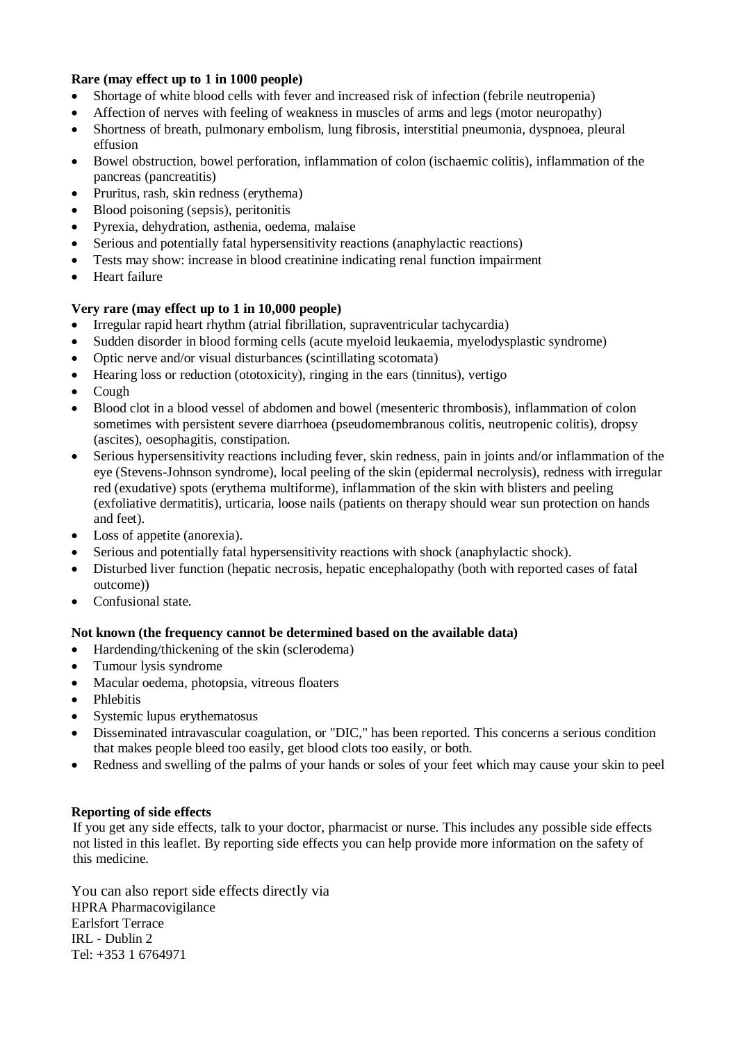## **Rare (may effect up to 1 in 1000 people)**

- Shortage of white blood cells with fever and increased risk of infection (febrile neutropenia)
- Affection of nerves with feeling of weakness in muscles of arms and legs (motor neuropathy)
- Shortness of breath, pulmonary embolism, lung fibrosis, interstitial pneumonia, dyspnoea, pleural effusion
- Bowel obstruction, bowel perforation, inflammation of colon (ischaemic colitis), inflammation of the pancreas (pancreatitis)
- Pruritus, rash, skin redness (erythema)
- Blood poisoning (sepsis), peritonitis
- Pyrexia, dehydration, asthenia, oedema, malaise
- Serious and potentially fatal hypersensitivity reactions (anaphylactic reactions)
- Tests may show: increase in blood creatinine indicating renal function impairment
- Heart failure

## **Very rare (may effect up to 1 in 10,000 people)**

- Irregular rapid heart rhythm (atrial fibrillation, supraventricular tachycardia)
- Sudden disorder in blood forming cells (acute myeloid leukaemia, myelodysplastic syndrome)
- Optic nerve and/or visual disturbances (scintillating scotomata)
- Hearing loss or reduction (ototoxicity), ringing in the ears (tinnitus), vertigo
- Cough
- Blood clot in a blood vessel of abdomen and bowel (mesenteric thrombosis), inflammation of colon sometimes with persistent severe diarrhoea (pseudomembranous colitis, neutropenic colitis), dropsy (ascites), oesophagitis, constipation.
- Serious hypersensitivity reactions including fever, skin redness, pain in joints and/or inflammation of the eye (Stevens-Johnson syndrome), local peeling of the skin (epidermal necrolysis), redness with irregular red (exudative) spots (erythema multiforme), inflammation of the skin with blisters and peeling (exfoliative dermatitis), urticaria, loose nails (patients on therapy should wear sun protection on hands and feet).
- Loss of appetite (anorexia).
- Serious and potentially fatal hypersensitivity reactions with shock (anaphylactic shock).
- Disturbed liver function (hepatic necrosis, hepatic encephalopathy (both with reported cases of fatal outcome))
- Confusional state.

### **Not known (the frequency cannot be determined based on the available data)**

- Hardending/thickening of the skin (sclerodema)
- Tumour lysis syndrome
- Macular oedema, photopsia, vitreous floaters
- Phlebitis
- Systemic lupus erythematosus
- Disseminated intravascular coagulation, or "DIC," has been reported. This concerns a serious condition that makes people bleed too easily, get blood clots too easily, or both.
- Redness and swelling of the palms of your hands or soles of your feet which may cause your skin to peel

### **Reporting of side effects**

If you get any side effects, talk to your doctor, pharmacist or nurse. This includes any possible side effects not listed in this leaflet. By reporting side effects you can help provide more information on the safety of this medicine.

You can also report side effects directly via HPRA Pharmacovigilance Earlsfort Terrace IRL - Dublin 2 Tel: +353 1 6764971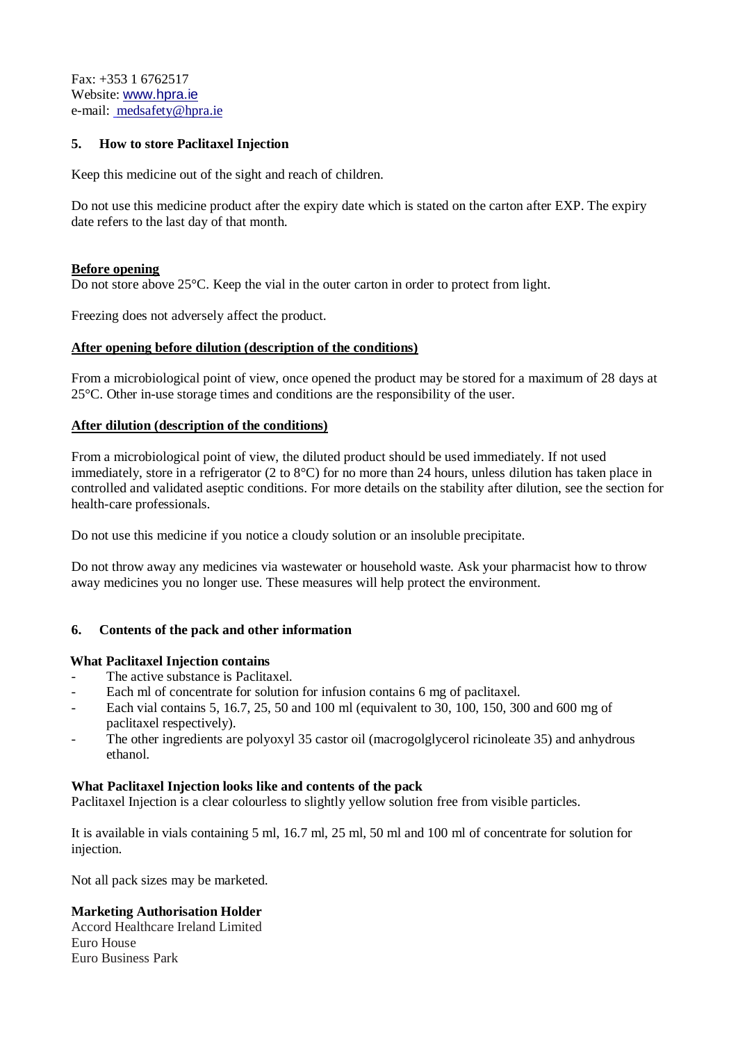Fax: +353 1 6762517 Website: [www.hpra.ie](http://www.hpra.ie/) e-mail: [medsafety@hpra.ie](mailto:medsafety@hpra.ie)

## **5. How to store Paclitaxel Injection**

Keep this medicine out of the sight and reach of children.

Do not use this medicine product after the expiry date which is stated on the carton after EXP. The expiry date refers to the last day of that month.

### **Before opening**

Do not store above 25 °C. Keep the vial in the outer carton in order to protect from light.

Freezing does not adversely affect the product.

## **After opening before dilution (description of the conditions)**

From a microbiological point of view, once opened the product may be stored for a maximum of 28 days at 25°C. Other in-use storage times and conditions are the responsibility of the user.

## **After dilution (description of the conditions)**

From a microbiological point of view, the diluted product should be used immediately. If not used immediately, store in a refrigerator (2 to  $8^{\circ}$ C) for no more than 24 hours, unless dilution has taken place in controlled and validated aseptic conditions. For more details on the stability after dilution, see the section for health-care professionals.

Do not use this medicine if you notice a cloudy solution or an insoluble precipitate.

Do not throw away any medicines via wastewater or household waste. Ask your pharmacist how to throw away medicines you no longer use. These measures will help protect the environment.

### **6. Contents of the pack and other information**

### **What Paclitaxel Injection contains**

- The active substance is Paclitaxel.
- Each ml of concentrate for solution for infusion contains 6 mg of paclitaxel.
- Each vial contains 5, 16.7, 25, 50 and 100 ml (equivalent to 30, 100, 150, 300 and 600 mg of paclitaxel respectively).
- The other ingredients are polyoxyl 35 castor oil (macrogolglycerol ricinoleate 35) and anhydrous ethanol.

### **What Paclitaxel Injection looks like and contents of the pack**

Paclitaxel Injection is a clear colourless to slightly yellow solution free from visible particles.

It is available in vials containing 5 ml, 16.7 ml, 25 ml, 50 ml and 100 ml of concentrate for solution for injection.

Not all pack sizes may be marketed.

### **Marketing Authorisation Holder**

Accord Healthcare Ireland Limited Euro House Euro Business Park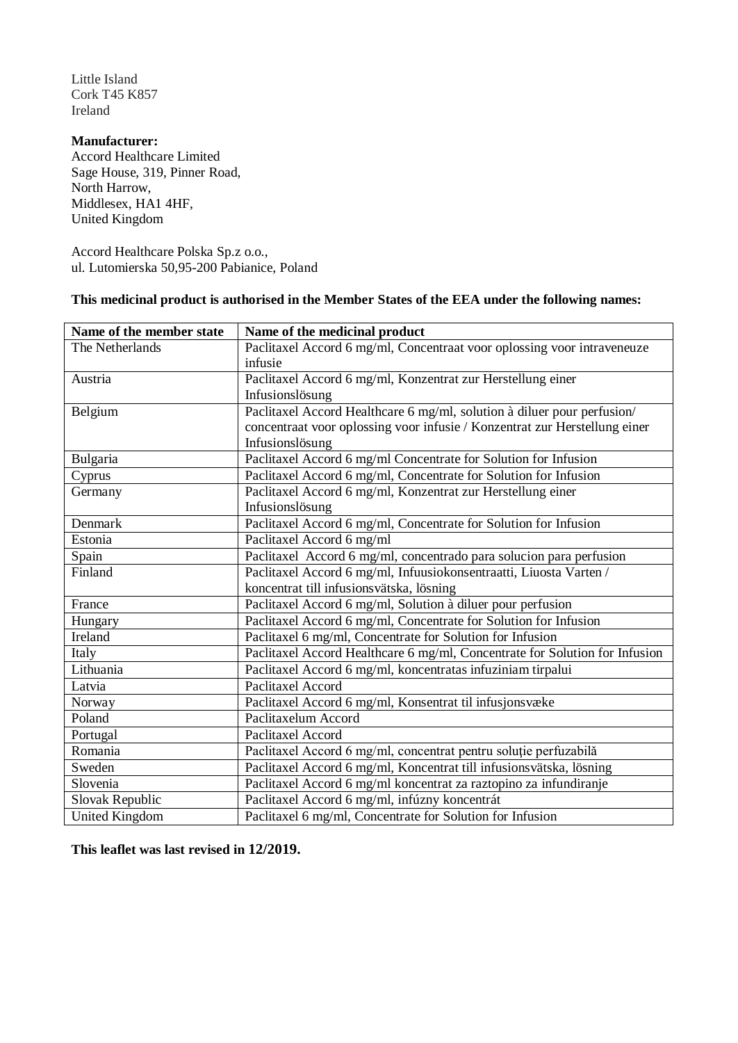Little Island Cork T45 K857 Ireland

**Manufacturer:** Accord Healthcare Limited Sage House, 319, Pinner Road, North Harrow, Middlesex, HA1 4HF, United Kingdom

Accord Healthcare Polska Sp.z o.o., ul. Lutomierska 50,95-200 Pabianice, Poland

# **This medicinal product is authorised in the Member States of the EEA under the following names:**

| Name of the member state | Name of the medicinal product                                               |  |
|--------------------------|-----------------------------------------------------------------------------|--|
| The Netherlands          | Paclitaxel Accord 6 mg/ml, Concentraat voor oplossing voor intraveneuze     |  |
|                          | infusie                                                                     |  |
| Austria                  | Paclitaxel Accord 6 mg/ml, Konzentrat zur Herstellung einer                 |  |
|                          | Infusionslösung                                                             |  |
| Belgium                  | Paclitaxel Accord Healthcare 6 mg/ml, solution à diluer pour perfusion/     |  |
|                          | concentraat voor oplossing voor infusie / Konzentrat zur Herstellung einer  |  |
|                          | Infusionslösung                                                             |  |
| Bulgaria                 | Paclitaxel Accord 6 mg/ml Concentrate for Solution for Infusion             |  |
| Cyprus                   | Paclitaxel Accord 6 mg/ml, Concentrate for Solution for Infusion            |  |
| Germany                  | Paclitaxel Accord 6 mg/ml, Konzentrat zur Herstellung einer                 |  |
|                          | Infusionslösung                                                             |  |
| Denmark                  | Paclitaxel Accord 6 mg/ml, Concentrate for Solution for Infusion            |  |
| Estonia                  | Paclitaxel Accord 6 mg/ml                                                   |  |
| Spain                    | Paclitaxel Accord 6 mg/ml, concentrado para solucion para perfusion         |  |
| Finland                  | Paclitaxel Accord 6 mg/ml, Infuusiokonsentraatti, Liuosta Varten /          |  |
|                          | koncentrat till infusionsvätska, lösning                                    |  |
| France                   | Paclitaxel Accord 6 mg/ml, Solution à diluer pour perfusion                 |  |
| Hungary                  | Paclitaxel Accord 6 mg/ml, Concentrate for Solution for Infusion            |  |
| Ireland                  | Paclitaxel 6 mg/ml, Concentrate for Solution for Infusion                   |  |
| Italy                    | Paclitaxel Accord Healthcare 6 mg/ml, Concentrate for Solution for Infusion |  |
| Lithuania                | Paclitaxel Accord 6 mg/ml, koncentratas infuziniam tirpalui                 |  |
| Latvia                   | Paclitaxel Accord                                                           |  |
| Norway                   | Paclitaxel Accord 6 mg/ml, Konsentrat til infusjonsvæke                     |  |
| Poland                   | Paclitaxelum Accord                                                         |  |
| Portugal                 | Paclitaxel Accord                                                           |  |
| Romania                  | Paclitaxel Accord 6 mg/ml, concentrat pentru soluție perfuzabilă            |  |
| Sweden                   | Paclitaxel Accord 6 mg/ml, Koncentrat till infusionsvätska, lösning         |  |
| Slovenia                 | Paclitaxel Accord 6 mg/ml koncentrat za raztopino za infundiranje           |  |
| Slovak Republic          | Paclitaxel Accord 6 mg/ml, infúzny koncentrát                               |  |
| <b>United Kingdom</b>    | Paclitaxel 6 mg/ml, Concentrate for Solution for Infusion                   |  |

**This leaflet was last revised in 12/2019.**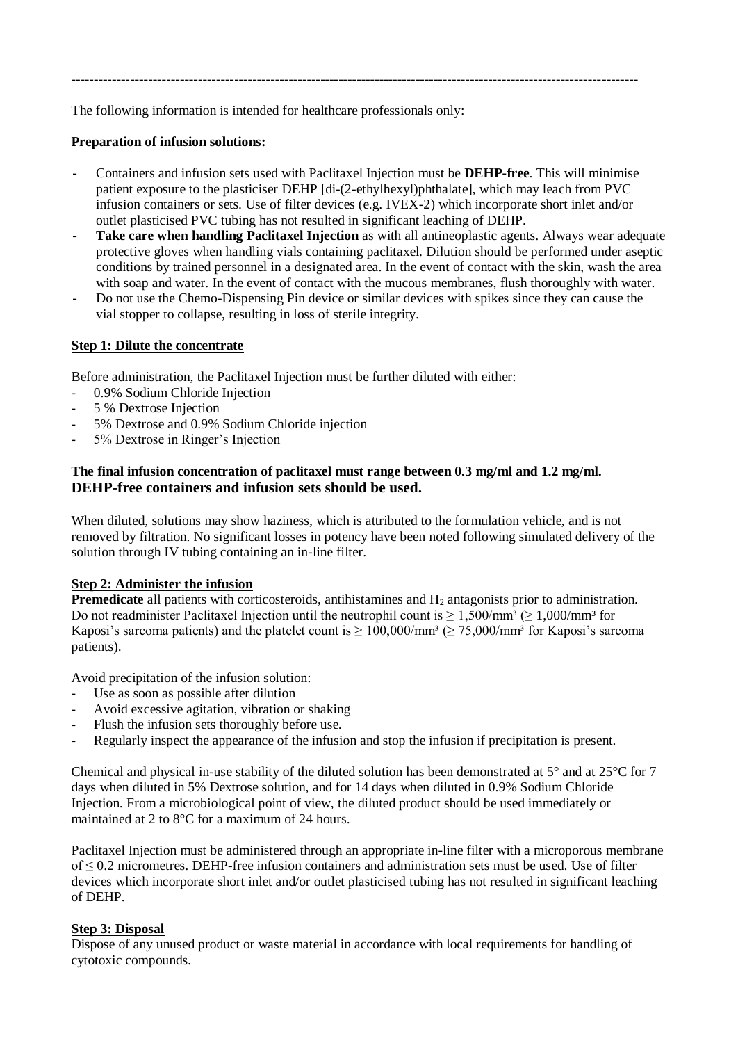The following information is intended for healthcare professionals only:

## **Preparation of infusion solutions:**

- Containers and infusion sets used with Paclitaxel Injection must be **DEHP-free**. This will minimise patient exposure to the plasticiser DEHP [di-(2-ethylhexyl)phthalate], which may leach from PVC infusion containers or sets. Use of filter devices (e.g. IVEX-2) which incorporate short inlet and/or outlet plasticised PVC tubing has not resulted in significant leaching of DEHP.

-----------------------------------------------------------------------------------------------------------------------------

- **Take care when handling Paclitaxel Injection** as with all antineoplastic agents. Always wear adequate protective gloves when handling vials containing paclitaxel. Dilution should be performed under aseptic conditions by trained personnel in a designated area. In the event of contact with the skin, wash the area with soap and water. In the event of contact with the mucous membranes, flush thoroughly with water.
- Do not use the Chemo-Dispensing Pin device or similar devices with spikes since they can cause the vial stopper to collapse, resulting in loss of sterile integrity.

## **Step 1: Dilute the concentrate**

Before administration, the Paclitaxel Injection must be further diluted with either:

- 0.9% Sodium Chloride Injection
- 5 % Dextrose Injection
- 5% Dextrose and 0.9% Sodium Chloride injection
- 5% Dextrose in Ringer's Injection

## **The final infusion concentration of paclitaxel must range between 0.3 mg/ml and 1.2 mg/ml. DEHP-free containers and infusion sets should be used.**

When diluted, solutions may show haziness, which is attributed to the formulation vehicle, and is not removed by filtration. No significant losses in potency have been noted following simulated delivery of the solution through IV tubing containing an in-line filter.

### **Step 2: Administer the infusion**

**Premedicate** all patients with corticosteroids, antihistamines and H<sub>2</sub> antagonists prior to administration. Do not readminister Paclitaxel Injection until the neutrophil count is  $\geq 1.500/\text{mm}^3 \geq 1.000/\text{mm}^3$  for Kaposi's sarcoma patients) and the platelet count is  $\geq 100,000/\text{mm}^3 \ (\geq 75,000/\text{mm}^3)$  for Kaposi's sarcoma patients).

Avoid precipitation of the infusion solution:

- Use as soon as possible after dilution
- Avoid excessive agitation, vibration or shaking
- Flush the infusion sets thoroughly before use.
- Regularly inspect the appearance of the infusion and stop the infusion if precipitation is present.

Chemical and physical in-use stability of the diluted solution has been demonstrated at  $5^{\circ}$  and at  $25^{\circ}$ C for 7 days when diluted in 5% Dextrose solution, and for 14 days when diluted in 0.9% Sodium Chloride Injection. From a microbiological point of view, the diluted product should be used immediately or maintained at 2 to 8°C for a maximum of 24 hours.

Paclitaxel Injection must be administered through an appropriate in-line filter with a microporous membrane of ≤ 0.2 micrometres. DEHP-free infusion containers and administration sets must be used. Use of filter devices which incorporate short inlet and/or outlet plasticised tubing has not resulted in significant leaching of DEHP.

### **Step 3: Disposal**

Dispose of any unused product or waste material in accordance with local requirements for handling of cytotoxic compounds.